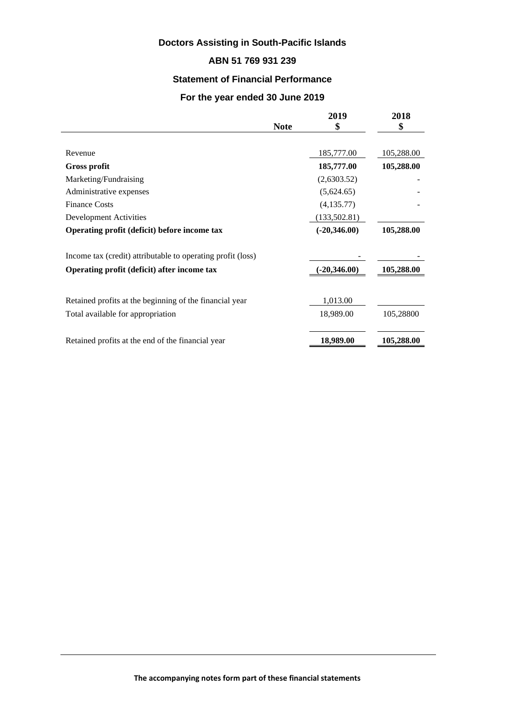# **Doctors Assisting in South-Pacific Islands**

## **ABN 51 769 931 239**

#### **Statement of Financial Performance**

#### **For the year ended 30 June 2019**

|                                                             | <b>Note</b> | 2019<br>\$     | 2018<br>\$ |
|-------------------------------------------------------------|-------------|----------------|------------|
|                                                             |             |                |            |
| Revenue                                                     |             | 185,777.00     | 105,288.00 |
| <b>Gross profit</b>                                         |             | 185,777.00     | 105,288.00 |
| Marketing/Fundraising                                       |             | (2,6303.52)    |            |
| Administrative expenses                                     |             | (5,624.65)     |            |
| <b>Finance Costs</b>                                        |             | (4, 135.77)    |            |
| Development Activities                                      |             | (133, 502.81)  |            |
| Operating profit (deficit) before income tax                |             | $(-20,346.00)$ | 105,288.00 |
| Income tax (credit) attributable to operating profit (loss) |             |                |            |
| Operating profit (deficit) after income tax                 |             | $(-20,346.00)$ | 105,288.00 |
| Retained profits at the beginning of the financial year     |             | 1,013.00       |            |
| Total available for appropriation                           |             | 18,989.00      | 105,28800  |
| Retained profits at the end of the financial year           |             | 18,989.00      | 105,288.00 |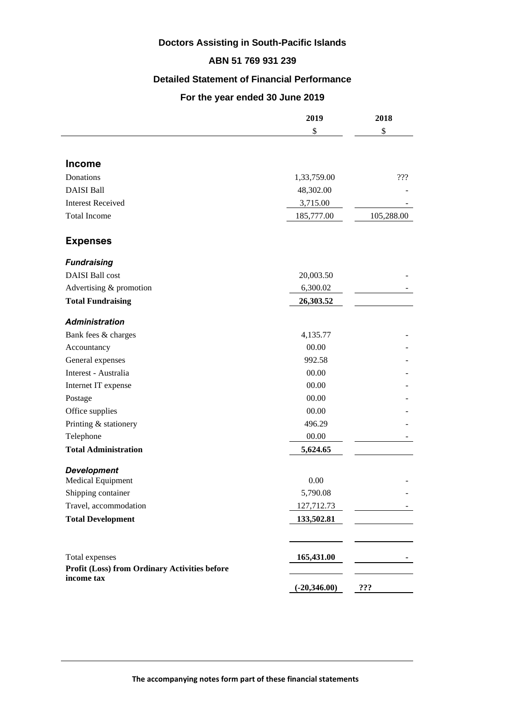# **Doctors Assisting in South-Pacific Islands**

### **ABN 51 769 931 239**

#### **Detailed Statement of Financial Performance**

#### **For the year ended 30 June 2019**

|                                               | 2019           | 2018       |
|-----------------------------------------------|----------------|------------|
|                                               | \$             | \$         |
|                                               |                |            |
| <b>Income</b>                                 |                |            |
| Donations                                     | 1,33,759.00    | ???        |
| <b>DAISI Ball</b>                             | 48,302.00      |            |
| <b>Interest Received</b>                      | 3,715.00       |            |
| <b>Total Income</b>                           | 185,777.00     | 105,288.00 |
| <b>Expenses</b>                               |                |            |
| <b>Fundraising</b>                            |                |            |
| <b>DAISI</b> Ball cost                        | 20,003.50      |            |
| Advertising & promotion                       | 6,300.02       |            |
| <b>Total Fundraising</b>                      | 26,303.52      |            |
| <b>Administration</b>                         |                |            |
| Bank fees & charges                           | 4,135.77       |            |
| Accountancy                                   | 00.00          |            |
| General expenses                              | 992.58         |            |
| Interest - Australia                          | 00.00          |            |
| Internet IT expense                           | 00.00          |            |
| Postage                                       | 00.00          |            |
| Office supplies                               | 00.00          |            |
| Printing & stationery                         | 496.29         |            |
| Telephone                                     | 00.00          |            |
| <b>Total Administration</b>                   | 5,624.65       |            |
| <b>Development</b>                            |                |            |
| Medical Equipment                             | 0.00           |            |
| Shipping container                            | 5,790.08       |            |
| Travel, accommodation                         | 127,712.73     |            |
| <b>Total Development</b>                      | 133,502.81     |            |
|                                               |                |            |
| Total expenses                                | 165,431.00     |            |
| Profit (Loss) from Ordinary Activities before |                |            |
| income tax                                    | $(-20,346.00)$ | ???        |